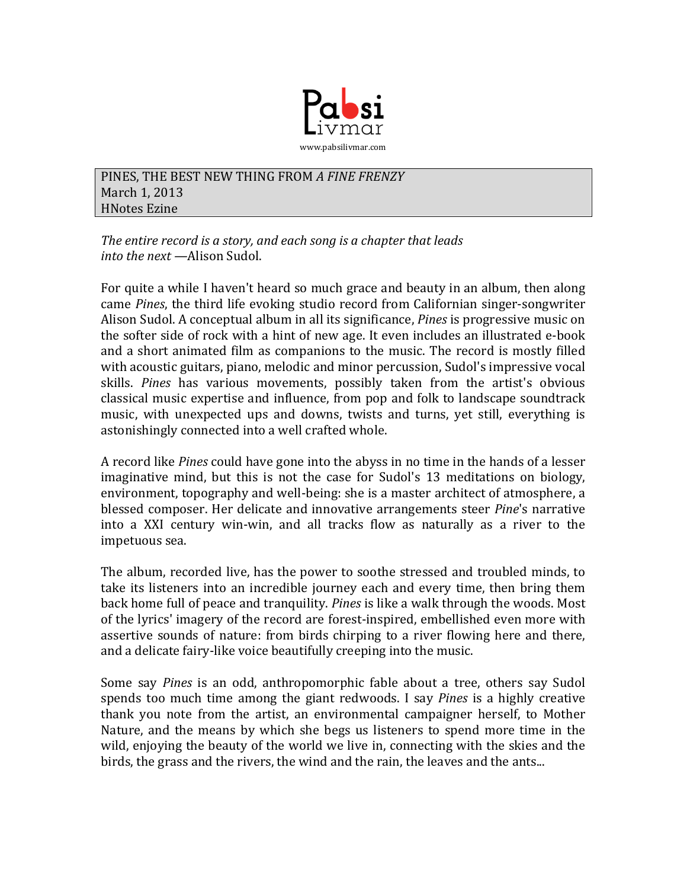

PINES, THE BEST NEW THING FROM A FINE FRENZY March 1, 2013 **HNotes Ezine** 

The entire record is a story, and each song is a chapter that leads *into the next* —Alison Sudol.

For quite a while I haven't heard so much grace and beauty in an album, then along came *Pines*, the third life evoking studio record from Californian singer-songwriter Alison Sudol. A conceptual album in all its significance, *Pines* is progressive music on the softer side of rock with a hint of new age. It even includes an illustrated e-book and a short animated film as companions to the music. The record is mostly filled with acoustic guitars, piano, melodic and minor percussion, Sudol's impressive vocal skills. Pines has various movements, possibly taken from the artist's obvious classical music expertise and influence, from pop and folk to landscape soundtrack music, with unexpected ups and downs, twists and turns, yet still, everything is astonishingly connected into a well crafted whole.

A record like *Pines* could have gone into the abyss in no time in the hands of a lesser imaginative mind, but this is not the case for Sudol's 13 meditations on biology, environment, topography and well-being: she is a master architect of atmosphere, a blessed composer. Her delicate and innovative arrangements steer *Pine's* narrative into a XXI century win-win, and all tracks flow as naturally as a river to the impetuous sea.

The album, recorded live, has the power to soothe stressed and troubled minds, to take its listeners into an incredible journey each and every time, then bring them back home full of peace and tranquility. *Pines* is like a walk through the woods. Most of the lyrics' imagery of the record are forest-inspired, embellished even more with assertive sounds of nature: from birds chirping to a river flowing here and there, and a delicate fairy-like voice beautifully creeping into the music.

Some say *Pines* is an odd, anthropomorphic fable about a tree, others say Sudol spends too much time among the giant redwoods. I say *Pines* is a highly creative thank you note from the artist, an environmental campaigner herself, to Mother Nature, and the means by which she begs us listeners to spend more time in the wild, enjoying the beauty of the world we live in, connecting with the skies and the birds, the grass and the rivers, the wind and the rain, the leaves and the ants...